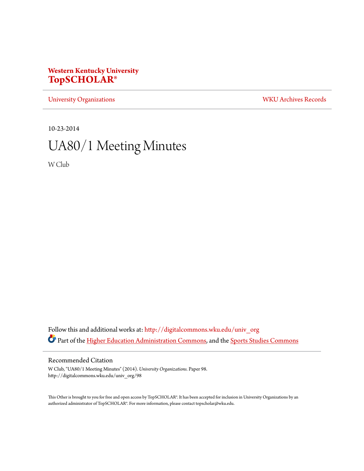## **Western Kentucky University [TopSCHOLAR®](http://digitalcommons.wku.edu?utm_source=digitalcommons.wku.edu%2Funiv_org%2F98&utm_medium=PDF&utm_campaign=PDFCoverPages)**

[University Organizations](http://digitalcommons.wku.edu/univ_org?utm_source=digitalcommons.wku.edu%2Funiv_org%2F98&utm_medium=PDF&utm_campaign=PDFCoverPages) [WKU Archives Records](http://digitalcommons.wku.edu/dlsc_ua_records?utm_source=digitalcommons.wku.edu%2Funiv_org%2F98&utm_medium=PDF&utm_campaign=PDFCoverPages)

10-23-2014

# UA80/1 Meeting Minutes

W Club

Follow this and additional works at: [http://digitalcommons.wku.edu/univ\\_org](http://digitalcommons.wku.edu/univ_org?utm_source=digitalcommons.wku.edu%2Funiv_org%2F98&utm_medium=PDF&utm_campaign=PDFCoverPages) Part of the [Higher Education Administration Commons](http://network.bepress.com/hgg/discipline/791?utm_source=digitalcommons.wku.edu%2Funiv_org%2F98&utm_medium=PDF&utm_campaign=PDFCoverPages), and the [Sports Studies Commons](http://network.bepress.com/hgg/discipline/1198?utm_source=digitalcommons.wku.edu%2Funiv_org%2F98&utm_medium=PDF&utm_campaign=PDFCoverPages)

### Recommended Citation

W Club, "UA80/1 Meeting Minutes" (2014). *University Organizations.* Paper 98. http://digitalcommons.wku.edu/univ\_org/98

This Other is brought to you for free and open access by TopSCHOLAR®. It has been accepted for inclusion in University Organizations by an authorized administrator of TopSCHOLAR®. For more information, please contact topscholar@wku.edu.